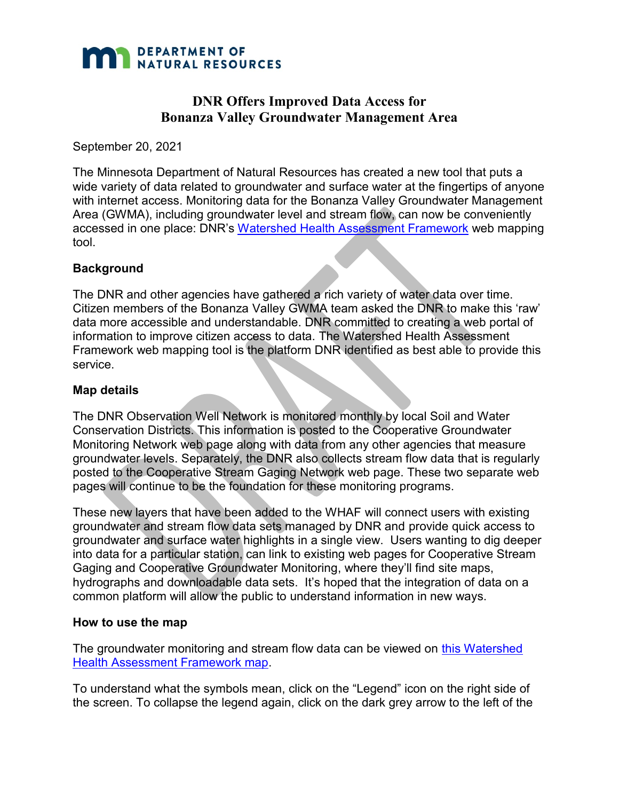

# **DNR Offers Improved Data Access for Bonanza Valley Groundwater Management Area**

September 20, 2021

The Minnesota Department of Natural Resources has created a new tool that puts a wide variety of data related to groundwater and surface water at the fingertips of anyone with internet access. Monitoring data for the Bonanza Valley Groundwater Management Area (GWMA), including groundwater level and stream flow, can now be conveniently accessed in one place: DNR's [Watershed Health Assessment Framework](https://arcgis.dnr.state.mn.us/ewr/whaf2/?z=10+lat=45.5317+lng=-95.0504+base=streets+topo=80+lyr=aux161,aux166,aux162,aux36,aux67,aux5,dnrTopo+lyrZ=11,10,9,8,7,6,5+lyrV=y,y,y,y,y,y,n+id=aux162) web mapping tool.

## **Background**

The DNR and other agencies have gathered a rich variety of water data over time. Citizen members of the Bonanza Valley GWMA team asked the DNR to make this 'raw' data more accessible and understandable. DNR committed to creating a web portal of information to improve citizen access to data. The Watershed Health Assessment Framework web mapping tool is the platform DNR identified as best able to provide this service.

## **Map details**

The DNR Observation Well Network is monitored monthly by local Soil and Water Conservation Districts. This information is posted to the Cooperative Groundwater Monitoring Network web page along with data from any other agencies that measure groundwater levels. Separately, the DNR also collects stream flow data that is regularly posted to the Cooperative Stream Gaging Network web page. These two separate web pages will continue to be the foundation for these monitoring programs.

These new layers that have been added to the WHAF will connect users with existing groundwater and stream flow data sets managed by DNR and provide quick access to groundwater and surface water highlights in a single view. Users wanting to dig deeper into data for a particular station, can link to existing web pages for Cooperative Stream Gaging and Cooperative Groundwater Monitoring, where they'll find site maps, hydrographs and downloadable data sets. It's hoped that the integration of data on a common platform will allow the public to understand information in new ways.

#### **How to use the map**

The groundwater monitoring and stream flow data can be viewed on [this Watershed](https://arcgis.dnr.state.mn.us/ewr/whaf2/?z=10+lat=45.5317+lng=-95.0504+base=streets+topo=80+lyr=aux161,aux166,aux162,aux36,aux67,aux5,dnrTopo+lyrZ=11,10,9,8,7,6,5+lyrV=y,y,y,y,y,y,n+id=aux162)  [Health Assessment Framework map.](https://arcgis.dnr.state.mn.us/ewr/whaf2/?z=10+lat=45.5317+lng=-95.0504+base=streets+topo=80+lyr=aux161,aux166,aux162,aux36,aux67,aux5,dnrTopo+lyrZ=11,10,9,8,7,6,5+lyrV=y,y,y,y,y,y,n+id=aux162)

To understand what the symbols mean, click on the "Legend" icon on the right side of the screen. To collapse the legend again, click on the dark grey arrow to the left of the